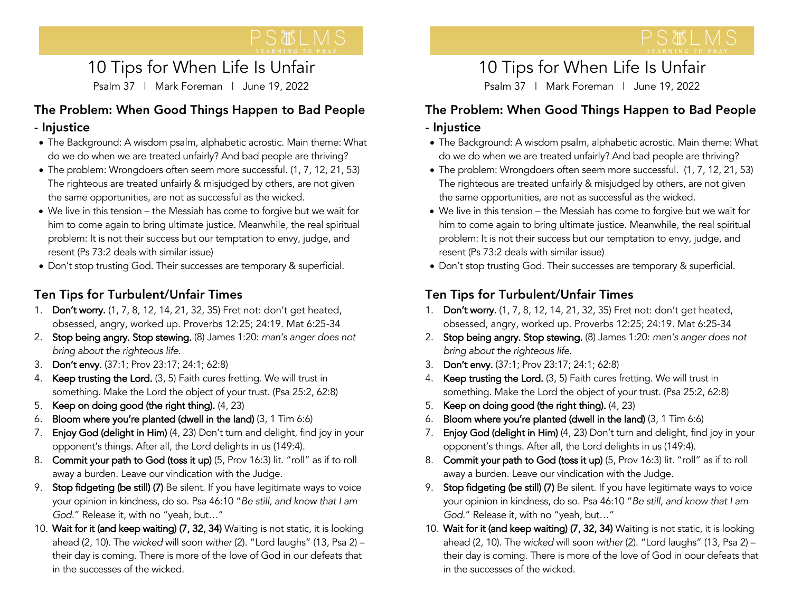# 10 Tips for When Life Is Unfair

Psalm 37 | Mark Foreman | June 19, 2022

#### The Problem: When Good Things Happen to Bad People - Injustice

- The Background: A wisdom psalm, alphabetic acrostic. Main theme: What do we do when we are treated unfairly? And bad people are thriving?
- The problem: Wrongdoers often seem more successful. (1, 7, 12, 21, 53) The righteous are treated unfairly & misjudged by others, are not given the same opportunities, are not as successful as the wicked.
- We live in this tension the Messiah has come to forgive but we wait for him to come again to bring ultimate justice. Meanwhile, the real spiritual problem: It is not their success but our temptation to envy, judge, and resent (Ps 73:2 deals with similar issue)
- Don't stop trusting God. Their successes are temporary & superficial.

## Ten Tips for Turbulent/Unfair Times

- 1. Don't worry. (1, 7, 8, 12, 14, 21, 32, 35) Fret not: don't get heated, obsessed, angry, worked up. Proverbs 12:25; 24:19. Mat 6:25-34
- 2. Stop being angry. Stop stewing. (8) James 1:20: *man's anger does not bring about the righteous life.*
- 3. Don't envy. (37:1; Prov 23:17; 24:1; 62:8)
- 4. Keep trusting the Lord. (3, 5) Faith cures fretting. We will trust in something. Make the Lord the object of your trust. (Psa 25:2, 62:8)
- 5. Keep on doing good (the right thing). (4, 23)
- 6. Bloom where you're planted (dwell in the land) (3, 1 Tim 6:6)
- 7. Enjoy God (delight in Him) (4, 23) Don't turn and delight, find joy in your opponent's things. After all, the Lord delights in us (149:4).
- 8. Commit your path to God (toss it up) (5, Prov 16:3) lit. "roll" as if to roll away a burden. Leave our vindication with the Judge.
- 9. Stop fidgeting (be still) (7) Be silent. If you have legitimate ways to voice your opinion in kindness, do so. Psa 46:10 "*Be still, and know that I am God*." Release it, with no "yeah, but…"
- 10. Wait for it (and keep waiting) (7, 32, 34) Waiting is not static, it is looking ahead (2, 10). The *wicked* will soon *wither* (2). "Lord laughs" (13, Psa 2) – their day is coming. There is more of the love of God in our defeats that in the successes of the wicked.

 $\mathbf{r}$ 

## 10 Tips for When Life Is Unfair

Psalm 37 | Mark Foreman | June 19, 2022

#### The Problem: When Good Things Happen to Bad People - Injustice

- The Background: A wisdom psalm, alphabetic acrostic. Main theme: What do we do when we are treated unfairly? And bad people are thriving?
- The problem: Wrongdoers often seem more successful. (1, 7, 12, 21, 53) The righteous are treated unfairly & misjudged by others, are not given the same opportunities, are not as successful as the wicked.
- We live in this tension the Messiah has come to forgive but we wait for him to come again to bring ultimate justice. Meanwhile, the real spiritual problem: It is not their success but our temptation to envy, judge, and resent (Ps 73:2 deals with similar issue)
- Don't stop trusting God. Their successes are temporary & superficial.

## Ten Tips for Turbulent/Unfair Times

- 1. Don't worry. (1, 7, 8, 12, 14, 21, 32, 35) Fret not: don't get heated, obsessed, angry, worked up. Proverbs 12:25; 24:19. Mat 6:25-34
- 2. Stop being angry. Stop stewing. (8) James 1:20: *man's anger does not bring about the righteous life.*
- 3. Don't envy. (37:1; Prov 23:17; 24:1; 62:8)
- 4. Keep trusting the Lord. (3, 5) Faith cures fretting. We will trust in something. Make the Lord the object of your trust. (Psa 25:2, 62:8)
- 5. Keep on doing good (the right thing). (4, 23)
- 6. Bloom where you're planted (dwell in the land) (3, 1 Tim 6:6)
- 7. Enjoy God (delight in Him) (4, 23) Don't turn and delight, find joy in your opponent's things. After all, the Lord delights in us (149:4).
- 8. Commit your path to God (toss it up) (5, Prov 16:3) lit. "roll" as if to roll away a burden. Leave our vindication with the Judge.
- 9. Stop fidgeting (be still) (7) Be silent. If you have legitimate ways to voice your opinion in kindness, do so. Psa 46:10 "*Be still, and know that I am God*." Release it, with no "yeah, but…"
- 10. Wait for it (and keep waiting) (7, 32, 34) Waiting is not static, it is looking ahead (2, 10). The *wicked* will soon *wither* (2). "Lord laughs" (13, Psa 2) – their day is coming. There is more of the love of God in oour defeats that in the successes of the wicked.